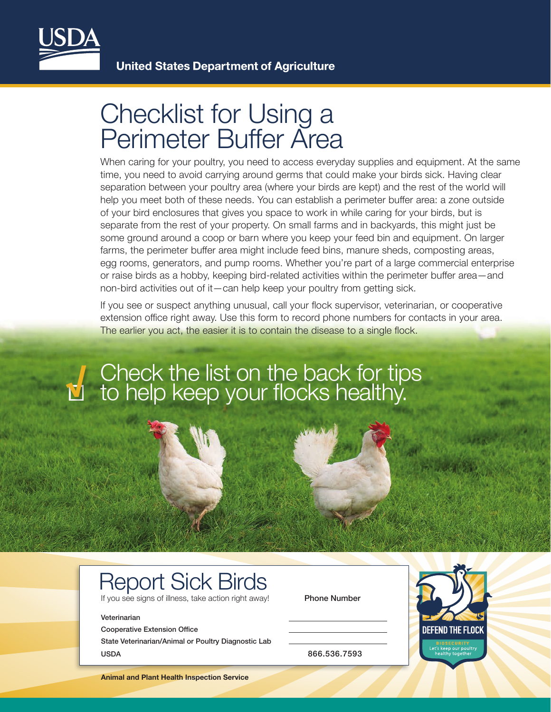

# Checklist for Using a Perimeter Buffer Area

When caring for your poultry, you need to access everyday supplies and equipment. At the same time, you need to avoid carrying around germs that could make your birds sick. Having clear separation between your poultry area (where your birds are kept) and the rest of the world will help you meet both of these needs. You can establish a perimeter buffer area: a zone outside of your bird enclosures that gives you space to work in while caring for your birds, but is separate from the rest of your property. On small farms and in backyards, this might just be some ground around a coop or barn where you keep your feed bin and equipment. On larger farms, the perimeter buffer area might include feed bins, manure sheds, composting areas, egg rooms, generators, and pump rooms. Whether you're part of a large commercial enterprise or raise birds as a hobby, keeping bird-related activities within the perimeter buffer area—and non-bird activities out of it—can help keep your poultry from getting sick.

If you see or suspect anything unusual, call your flock supervisor, veterinarian, or cooperative extension office right away. Use this form to record phone numbers for contacts in your area. The earlier you act, the easier it is to contain the disease to a single flock.

# Check the list on the back for tips to help keep your flocks healthy. **√**

### Report Sick Birds

If you see signs of illness, take action right away! Phone Number

#### Veterinarian

Cooperative Extension Office

State Veterinarian/Animal or Poultry Diagnostic Lab USDA 866.536.7593



**Animal and Plant Health Inspection Service**